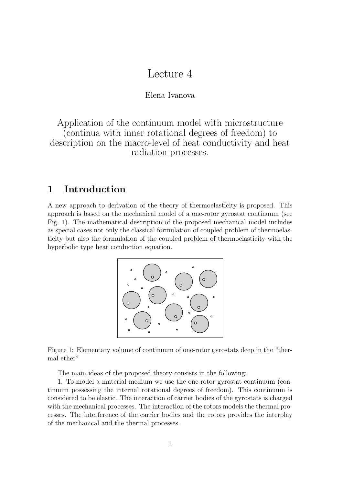# Lecture 4

#### Elena Ivanova

Application of the continuum model with microstructure (continua with inner rotational degrees of freedom) to description on the macro-level of heat conductivity and heat radiation processes.

## **1 Introduction**

A new approach to derivation of the theory of thermoelasticity is proposed. This approach is based on the mechanical model of a one-rotor gyrostat continuum (see Fig. 1). The mathematical description of the proposed mechanical model includes as special cases not only the classical formulation of coupled problem of thermoelasticity but also the formulation of the coupled problem of thermoelasticity with the hyperbolic type heat conduction equation.



Figure 1: Elementary volume of continuum of one-rotor gyrostats deep in the "thermal ether"

The main ideas of the proposed theory consists in the following:

1. To model a material medium we use the one-rotor gyrostat continuum (continuum possessing the internal rotational degrees of freedom). This continuum is considered to be elastic. The interaction of carrier bodies of the gyrostats is charged with the mechanical processes. The interaction of the rotors models the thermal processes. The interference of the carrier bodies and the rotors provides the interplay of the mechanical and the thermal processes.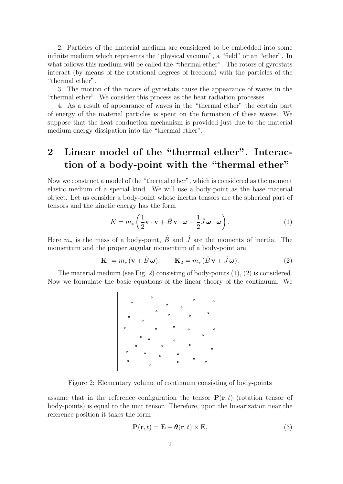2. Particles of the material medium are considered to be embedded into some infinite medium which represents the "physical vacuum", a "field" or an "ether". In what follows this medium will be called the "thermal ether". The rotors of gyrostats interact (by means of the rotational degrees of freedom) with the particles of the "thermal ether".

3. The motion of the rotors of gyrostats cause the appearance of waves in the "thermal ether". We consider this process as the heat radiation processes.

4. As a result of appearance of waves in the "thermal ether" the certain part of energy of the material particles is spent on the formation of these waves. We suppose that the heat conduction mechanism is provided just due to the material medium energy dissipation into the "thermal ether".

## **2 Linear model of the "thermal ether". Interaction of a body-point with the "thermal ether"**

Now we construct a model of the "thermal ether", which is considered as the moment elastic medium of a special kind. We will use a body-point as the base material object. Let us consider a body-point whose inertia tensors are the spherical part of tensors and the kinetic energy has the form

$$
K = m_* \left( \frac{1}{2} \mathbf{v} \cdot \mathbf{v} + \hat{B} \mathbf{v} \cdot \boldsymbol{\omega} + \frac{1}{2} \hat{J} \boldsymbol{\omega} \cdot \boldsymbol{\omega} \right).
$$
 (1)

Here  $m_*$  is the mass of a body-point,  $\hat{B}$  and  $\hat{J}$  are the moments of inertia. The momentum and the proper angular momentum of a body-point are

$$
\mathbf{K}_1 = m_* \left( \mathbf{v} + \hat{B} \, \boldsymbol{\omega} \right), \qquad \mathbf{K}_2 = m_* \left( \hat{B} \, \mathbf{v} + \hat{J} \, \boldsymbol{\omega} \right).
$$
 (2)

The material medium (see Fig. 2) consisting of body-points (1), (2) is considered. Now we formulate the basic equations of the linear theory of the continuum. We



Figure 2: Elementary volume of continuum consisting of body-points

assume that in the reference configuration the tensor  $P(\mathbf{r},t)$  (rotation tensor of body-points) is equal to the unit tensor. Therefore, upon the linearization near the reference position it takes the form

$$
\mathbf{P}(\mathbf{r},t) = \mathbf{E} + \boldsymbol{\theta}(\mathbf{r},t) \times \mathbf{E},\tag{3}
$$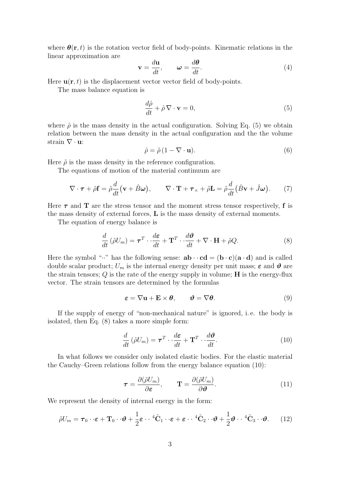where  $\theta(\mathbf{r},t)$  is the rotation vector field of body-points. Kinematic relations in the linear approximation are

$$
\mathbf{v} = \frac{d\mathbf{u}}{dt}, \qquad \boldsymbol{\omega} = \frac{d\boldsymbol{\theta}}{dt}.
$$
 (4)

Here  $\mathbf{u}(\mathbf{r},t)$  is the displacement vector vector field of body-points.

The mass balance equation is

$$
\frac{d\hat{\rho}}{dt} + \hat{\rho}\,\nabla\cdot\mathbf{v} = 0,\tag{5}
$$

where  $\hat{\rho}$  is the mass density in the actual configuration. Solving Eq. (5) we obtain relation between the mass density in the actual configuration and the the volume strain *∇ ·* **u**:

$$
\hat{\rho} = \tilde{\rho} \left( 1 - \nabla \cdot \mathbf{u} \right). \tag{6}
$$

Here  $\tilde{\rho}$  is the mass density in the reference configuration.

The equations of motion of the material continuum are

$$
\nabla \cdot \boldsymbol{\tau} + \tilde{\rho} \mathbf{f} = \tilde{\rho} \frac{d}{dt} (\mathbf{v} + \hat{B}\boldsymbol{\omega}), \qquad \nabla \cdot \mathbf{T} + \boldsymbol{\tau}_{\times} + \tilde{\rho} \mathbf{L} = \tilde{\rho} \frac{d}{dt} (\hat{B}\mathbf{v} + \hat{J}\boldsymbol{\omega}). \tag{7}
$$

Here  $\tau$  and **T** are the stress tensor and the moment stress tensor respectively, **f** is the mass density of external forces, **L** is the mass density of external moments.

The equation of energy balance is

$$
\frac{d}{dt}(\tilde{\rho}U_m) = \boldsymbol{\tau}^T \cdot \frac{d\boldsymbol{\varepsilon}}{dt} + \mathbf{T}^T \cdot \frac{d\boldsymbol{\vartheta}}{dt} + \nabla \cdot \mathbf{H} + \tilde{\rho}Q. \tag{8}
$$

Here the symbol " $\cdot$ " has the following sense:  $ab \cdot \cdot cd = (b \cdot c)(a \cdot d)$  and is called double scalar product;  $U_m$  is the internal energy density per unit mass;  $\varepsilon$  and  $\vartheta$  are the strain tensors; *Q* is the rate of the energy supply in volume; **H** is the energy-flux vector. The strain tensors are determined by the formulas

$$
\boldsymbol{\varepsilon} = \nabla \mathbf{u} + \mathbf{E} \times \boldsymbol{\theta}, \qquad \boldsymbol{\vartheta} = \nabla \boldsymbol{\theta}.
$$

If the supply of energy of "non-mechanical nature" is ignored, i. e. the body is isolated, then Eq. (8) takes a more simple form:

$$
\frac{d}{dt}(\tilde{\rho}U_m) = \boldsymbol{\tau}^T \cdot \frac{d\boldsymbol{\varepsilon}}{dt} + \mathbf{T}^T \cdot \frac{d\boldsymbol{\vartheta}}{dt}.
$$
\n(10)

In what follows we consider only isolated elastic bodies. For the elastic material the Cauchy–Green relations follow from the energy balance equation (10):

$$
\boldsymbol{\tau} = \frac{\partial(\tilde{\rho}U_m)}{\partial \boldsymbol{\varepsilon}}, \qquad \mathbf{T} = \frac{\partial(\tilde{\rho}U_m)}{\partial \boldsymbol{\vartheta}}.
$$
 (11)

We represent the density of internal energy in the form:

$$
\tilde{\rho}U_m = \boldsymbol{\tau}_0 \cdot \boldsymbol{\epsilon} + \mathbf{T}_0 \cdot \boldsymbol{\vartheta} + \frac{1}{2} \boldsymbol{\epsilon} \cdot \boldsymbol{\cdot} 4 \tilde{\mathbf{C}}_1 \cdot \boldsymbol{\epsilon} + \boldsymbol{\epsilon} \cdot \boldsymbol{\cdot} 4 \tilde{\mathbf{C}}_2 \cdot \boldsymbol{\vartheta} + \frac{1}{2} \boldsymbol{\vartheta} \cdot \boldsymbol{\cdot} 4 \tilde{\mathbf{C}}_3 \cdot \boldsymbol{\vartheta}.
$$
 (12)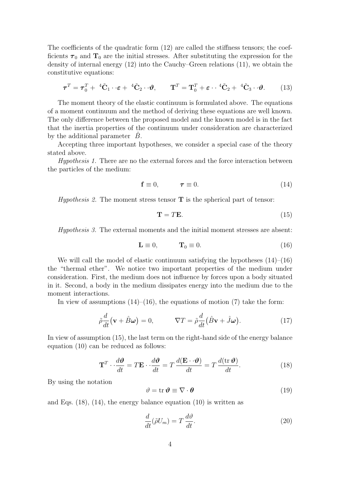The coefficients of the quadratic form (12) are called the stiffness tensors; the coefficients  $\tau_0$  and  $\mathbf{T}_0$  are the initial stresses. After substituting the expression for the density of internal energy (12) into the Cauchy–Green relations (11), we obtain the constitutive equations:

$$
\boldsymbol{\tau}^T = \boldsymbol{\tau}_0^T + {}^{4}\tilde{\mathbf{C}}_1 \cdot \boldsymbol{\epsilon} + {}^{4}\tilde{\mathbf{C}}_2 \cdot \boldsymbol{\vartheta}, \qquad \mathbf{T}^T = \mathbf{T}_0^T + \boldsymbol{\epsilon} \cdot {}^{4}\tilde{\mathbf{C}}_2 + {}^{4}\tilde{\mathbf{C}}_3 \cdot \boldsymbol{\vartheta}. \tag{13}
$$

The moment theory of the elastic continuum is formulated above. The equations of a moment continuum and the method of deriving these equations are well known. The only difference between the proposed model and the known model is in the fact that the inertia properties of the continuum under consideration are characterized by the additional parameter *B*.

Accepting three important hypotheses, we consider a special case of the theory stated above.

*Hypothesis 1.* There are no the external forces and the force interaction between the particles of the medium:

$$
\mathbf{f} \equiv 0, \qquad \qquad \boldsymbol{\tau} \equiv 0. \tag{14}
$$

*Hypothesis 2.* The moment stress tensor **T** is the spherical part of tensor:

$$
\mathbf{T} = T\mathbf{E}.\tag{15}
$$

*Hypothesis 3.* The external moments and the initial moment stresses are absent:

$$
\mathbf{L} \equiv 0, \qquad \mathbf{T}_0 \equiv 0. \tag{16}
$$

We will call the model of elastic continuum satisfying the hypotheses  $(14)$ – $(16)$ the "thermal ether". We notice two important properties of the medium under consideration. First, the medium does not influence by forces upon a body situated in it. Second, a body in the medium dissipates energy into the medium due to the moment interactions.

In view of assumptions  $(14)$ – $(16)$ , the equations of motion  $(7)$  take the form:

$$
\tilde{\rho}\frac{d}{dt}(\mathbf{v} + \hat{B}\boldsymbol{\omega}) = 0, \qquad \nabla T = \tilde{\rho}\frac{d}{dt}(\hat{B}\mathbf{v} + \hat{J}\boldsymbol{\omega}). \tag{17}
$$

In view of assumption (15), the last term on the right-hand side of the energy balance equation (10) can be reduced as follows:

$$
\mathbf{T}^T \cdot \frac{d\mathbf{\vartheta}}{dt} = T\mathbf{E} \cdot \frac{d\mathbf{\vartheta}}{dt} = T \frac{d(\mathbf{E} \cdot \mathbf{\vartheta})}{dt} = T \frac{d(\text{tr}\,\mathbf{\vartheta})}{dt}.
$$
 (18)

By using the notation

$$
\vartheta = \operatorname{tr} \boldsymbol{\vartheta} \equiv \nabla \cdot \boldsymbol{\theta} \tag{19}
$$

and Eqs. (18), (14), the energy balance equation (10) is written as

$$
\frac{d}{dt}(\tilde{\rho}U_m) = T\frac{d\vartheta}{dt}.\tag{20}
$$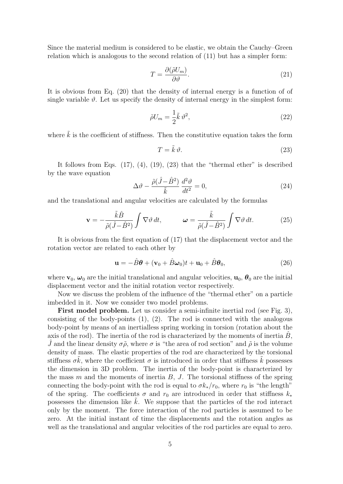Since the material medium is considered to be elastic, we obtain the Cauchy–Green relation which is analogous to the second relation of (11) but has a simpler form:

$$
T = \frac{\partial(\tilde{\rho}U_m)}{\partial \vartheta}.
$$
\n(21)

It is obvious from Eq. (20) that the density of internal energy is a function of of single variable  $\vartheta$ . Let us specify the density of internal energy in the simplest form:

$$
\tilde{\rho}U_m = \frac{1}{2}\tilde{k}\,\vartheta^2,\tag{22}
$$

where  $\tilde{k}$  is the coefficient of stiffness. Then the constitutive equation takes the form

$$
T = \tilde{k}\,\vartheta.\tag{23}
$$

It follows from Eqs.  $(17)$ ,  $(4)$ ,  $(19)$ ,  $(23)$  that the "thermal ether" is described by the wave equation

$$
\Delta \vartheta - \frac{\tilde{\rho}(\hat{J} - \hat{B}^2)}{\tilde{k}} \frac{d^2 \vartheta}{dt^2} = 0,
$$
\n(24)

and the translational and angular velocities are calculated by the formulas

$$
\mathbf{v} = -\frac{\tilde{k}\hat{B}}{\tilde{\rho}(\hat{J} - \hat{B}^2)} \int \nabla \vartheta \, dt, \qquad \boldsymbol{\omega} = \frac{\tilde{k}}{\tilde{\rho}(\hat{J} - \hat{B}^2)} \int \nabla \vartheta \, dt. \tag{25}
$$

It is obvious from the first equation of (17) that the displacement vector and the rotation vector are related to each other by

$$
\mathbf{u} = -\hat{B}\boldsymbol{\theta} + (\mathbf{v}_0 + \hat{B}\boldsymbol{\omega}_0)t + \mathbf{u}_0 + \hat{B}\boldsymbol{\theta}_0, \qquad (26)
$$

where  $\mathbf{v}_0$ ,  $\boldsymbol{\omega}_0$  are the initial translational and angular velocities,  $\mathbf{u}_0$ ,  $\boldsymbol{\theta}_0$  are the initial displacement vector and the initial rotation vector respectively.

Now we discuss the problem of the influence of the "thermal ether" on a particle imbedded in it. Now we consider two model problems.

First model problem. Let us consider a semi-infinite inertial rod (see Fig. 3), consisting of the body-points (1), (2). The rod is connected with the analogous body-point by means of an inertialless spring working in torsion (rotation about the axis of the rod). The inertia of the rod is characterized by the moments of inertia  $B$ , *J* and the linear density  $\sigma \tilde{\rho}$ , where  $\sigma$  is "the area of rod section" and  $\tilde{\rho}$  is the volume density of mass. The elastic properties of the rod are characterized by the torsional stiffness  $\sigma k$ , where the coefficient  $\sigma$  is introduced in order that stiffness k possesses the dimension in 3D problem. The inertia of the body-point is characterized by the mass *m* and the moments of inertia *B*, *J*. The torsional stiffness of the spring connecting the body-point with the rod is equal to  $\sigma k_*/r_0$ , where  $r_0$  is "the length" of the spring. The coefficients  $\sigma$  and  $r_0$  are introduced in order that stiffness  $k_*$ possesses the dimension like ˜*k*. We suppose that the particles of the rod interact only by the moment. The force interaction of the rod particles is assumed to be zero. At the initial instant of time the displacements and the rotation angles as well as the translational and angular velocities of the rod particles are equal to zero.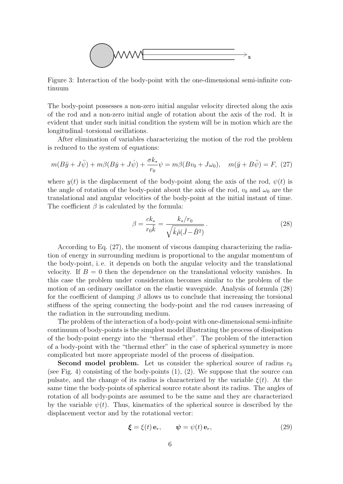

Figure 3: Interaction of the body-point with the one-dimensional semi-infinite continuum

The body-point possesses a non-zero initial angular velocity directed along the axis of the rod and a non-zero initial angle of rotation about the axis of the rod. It is evident that under such initial condition the system will be in motion which are the longitudinal–torsional oscillations.

After elimination of variables characterizing the motion of the rod the problem is reduced to the system of equations:

$$
m(B\ddot{y} + J\ddot{\psi}) + m\beta(B\dot{y} + J\dot{\psi}) + \frac{\sigma k_*}{r_0} \psi = m\beta(Bv_0 + J\omega_0), \quad m(\ddot{y} + B\ddot{\psi}) = F, (27)
$$

where  $y(t)$  is the displacement of the body-point along the axis of the rod,  $\psi(t)$  is the angle of rotation of the body-point about the axis of the rod,  $v_0$  and  $\omega_0$  are the translational and angular velocities of the body-point at the initial instant of time. The coefficient  $\beta$  is calculated by the formula:

$$
\beta = \frac{ck_*}{r_0 \tilde{k}} = \frac{k_*/r_0}{\sqrt{\tilde{k}\tilde{\rho}(\hat{J} - \hat{B}^2)}}.
$$
\n(28)

According to Eq. (27), the moment of viscous damping characterizing the radiation of energy in surrounding medium is proportional to the angular momentum of the body-point, i. e. it depends on both the angular velocity and the translational velocity. If  $B = 0$  then the dependence on the translational velocity vanishes. In this case the problem under consideration becomes similar to the problem of the motion of an ordinary oscillator on the elastic waveguide. Analysis of formula (28) for the coefficient of damping  $\beta$  allows us to conclude that increasing the torsional stiffness of the spring connecting the body-point and the rod causes increasing of the radiation in the surrounding medium.

The problem of the interaction of a body-point with one-dimensional semi-infinite continuum of body-points is the simplest model illustrating the process of dissipation of the body-point energy into the "thermal ether". The problem of the interaction of a body-point with the "thermal ether" in the case of spherical symmetry is more complicated but more appropriate model of the process of dissipation.

**Second model problem.** Let us consider the spherical source of radius  $r_0$ (see Fig. 4) consisting of the body-points (1), (2). We suppose that the source can pulsate, and the change of its radius is characterized by the variable  $\xi(t)$ . At the same time the body-points of spherical source rotate about its radius. The angles of rotation of all body-points are assumed to be the same and they are characterized by the variable  $\psi(t)$ . Thus, kinematics of the spherical source is described by the displacement vector and by the rotational vector:

$$
\boldsymbol{\xi} = \xi(t) \mathbf{e}_r, \qquad \boldsymbol{\psi} = \psi(t) \mathbf{e}_r, \tag{29}
$$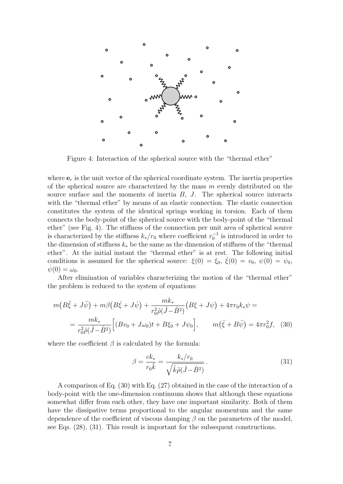

Figure 4: Interaction of the spherical source with the "thermal ether"

where  $\mathbf{e}_r$  is the unit vector of the spherical coordinate system. The inertia properties of the spherical source are characterized by the mass *m* evenly distributed on the source surface and the moments of inertia *B*, *J*. The spherical source interacts with the "thermal ether" by means of an elastic connection. The elastic connection constitutes the system of the identical springs working in torsion. Each of them connects the body-point of the spherical source with the body-point of the "thermal ether" (see Fig. 4). The stiffness of the connection per unit area of spherical source is characterized by the stiffness  $k_*/r_0$  where coefficient  $r_0^{-1}$  is introduced in order to the dimension of stiffness  $k_*$  be the same as the dimension of stiffness of the "thermal" ether". At the initial instant the "thermal ether" is at rest. The following initial conditions is assumed for the spherical source:  $\xi(0) = \xi_0$ ,  $\dot{\xi}(0) = v_0$ ,  $\psi(0) = \psi_0$ ,  $\psi(0) = \omega_0$ .

After elimination of variables characterizing the motion of the "thermal ether" the problem is reduced to the system of equations:

$$
m(B\ddot{\xi} + J\ddot{\psi}) + m\beta (B\dot{\xi} + J\dot{\psi}) + \frac{mk_*}{r_0^2 \tilde{\rho}(\hat{J} - \hat{B}^2)} (B\xi + J\psi) + 4\pi r_0 k_* \psi =
$$
  
= 
$$
\frac{mk_*}{r_0^2 \tilde{\rho}(\hat{J} - \hat{B}^2)} \Big[ (Bv_0 + J\omega_0)t + B\xi_0 + J\psi_0 \Big], \qquad m(\ddot{\xi} + B\ddot{\psi}) = 4\pi r_0^2 f, \quad (30)
$$

where the coefficient  $\beta$  is calculated by the formula:

$$
\beta = \frac{ck_*}{r_0 \tilde{k}} = \frac{k_*/r_0}{\sqrt{\tilde{k}\tilde{\rho}(\hat{J}-\hat{B}^2)}}.
$$
\n(31)

A comparison of Eq. (30) with Eq. (27) obtained in the case of the interaction of a body-point with the one-dimension continuum shows that although these equations somewhat differ from each other, they have one important similarity. Both of them have the dissipative terms proportional to the angular momentum and the same dependence of the coefficient of viscous damping *β* on the parameters of the model, see Eqs. (28), (31). This result is important for the subsequent constructions.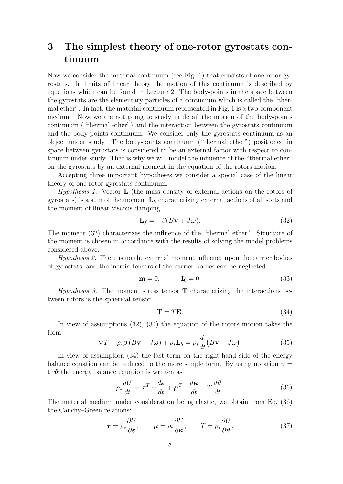## **3 The simplest theory of one-rotor gyrostats continuum**

Now we consider the material continuum (see Fig. 1) that consists of one-rotor gyrostats. In limits of linear theory the motion of this continuum is described by equations which can be found in Lecture 2. The body-points in the space between the gyrostats are the elementary particles of a continuum which is called the "thermal ether". In fact, the material continuum represented in Fig. 1 is a two-component medium. Now we are not going to study in detail the motion of the body-points continuum ("thermal ether") and the interaction between the gyrostats continuum and the body-points continuum. We consider only the gyrostats continuum as an object under study. The body-points continuum ("thermal ether") positioned in space between gyrostats is considered to be an external factor with respect to continuum under study. That is why we will model the influence of the "thermal ether" on the gyrostats by an external moment in the equation of the rotors motion.

Accepting three important hypotheses we consider a special case of the linear theory of one-rotor gyrostats continuum.

*Hypothesis 1.* Vector **L** (the mass density of external actions on the rotors of gyrostats) is a sum of the moment **L***<sup>h</sup>* characterizing external actions of all sorts and the moment of linear viscous damping

$$
\mathbf{L}_f = -\beta (B\mathbf{v} + J\boldsymbol{\omega}).\tag{32}
$$

The moment (32) characterizes the influence of the "thermal ether". Structure of the moment is chosen in accordance with the results of solving the model problems considered above.

*Hypothesis 2.* There is no the external moment influence upon the carrier bodies of gyrostats; and the inertia tensors of the carrier bodies can be neglected

$$
\mathbf{m} = 0, \qquad \mathbf{I}_0 = 0. \tag{33}
$$

*Hypothesis 3.* The moment stress tensor **T** characterizing the interactions between rotors is the spherical tensor

$$
\mathbf{T} = T\mathbf{E}.\tag{34}
$$

In view of assumptions (32), (34) the equation of the rotors motion takes the form

$$
\nabla T - \rho_* \beta \left( B \mathbf{v} + J \boldsymbol{\omega} \right) + \rho_* \mathbf{L}_h = \rho_* \frac{d}{dt} \big( B \mathbf{v} + J \boldsymbol{\omega} \big), \tag{35}
$$

In view of assumption (34) the last term on the right-hand side of the energy balance equation can be reduced to the more simple form. By using notation  $\vartheta =$ tr $\vartheta$  the energy balance equation is written as

$$
\rho_* \frac{dU}{dt} = \boldsymbol{\tau}^T \cdot \frac{d\boldsymbol{\varepsilon}}{dt} + \boldsymbol{\mu}^T \cdot \frac{d\boldsymbol{\kappa}}{dt} + T \frac{d\vartheta}{dt}.
$$
 (36)

The material medium under consideration being elastic, we obtain from Eq. (36) the Cauchy–Green relations:

$$
\boldsymbol{\tau} = \rho_* \frac{\partial U}{\partial \boldsymbol{\varepsilon}}, \qquad \boldsymbol{\mu} = \rho_* \frac{\partial U}{\partial \boldsymbol{\kappa}}, \qquad T = \rho_* \frac{\partial U}{\partial \vartheta}.
$$
 (37)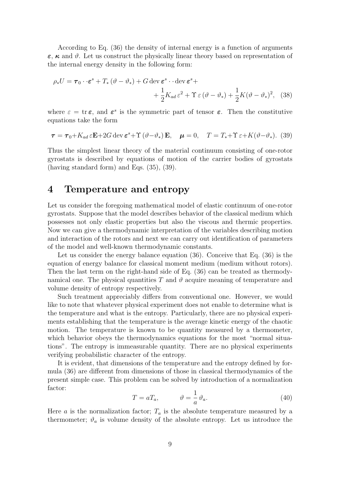According to Eq. (36) the density of internal energy is a function of arguments *ε*, *κ* and *ϑ*. Let us construct the physically linear theory based on representation of the internal energy density in the following form:

$$
\rho_* U = \boldsymbol{\tau}_0 \cdot \boldsymbol{\varepsilon}^s + T_* \left( \vartheta - \vartheta_* \right) + G \operatorname{dev} \boldsymbol{\varepsilon}^s \cdot \operatorname{dev} \boldsymbol{\varepsilon}^s +
$$
  
+ 
$$
\frac{1}{2} K_{ad} \boldsymbol{\varepsilon}^2 + \Upsilon \boldsymbol{\varepsilon} \left( \vartheta - \vartheta_* \right) + \frac{1}{2} K (\vartheta - \vartheta_*)^2, \quad (38)
$$

where  $\varepsilon = \text{tr} \varepsilon$ , and  $\varepsilon^s$  is the symmetric part of tensor  $\varepsilon$ . Then the constitutive equations take the form

$$
\boldsymbol{\tau} = \boldsymbol{\tau}_0 + K_{ad} \,\varepsilon \mathbf{E} + 2G \operatorname{dev} \boldsymbol{\varepsilon}^s + \Upsilon \left( \vartheta - \vartheta_* \right) \mathbf{E}, \quad \boldsymbol{\mu} = 0, \quad T = T_* + \Upsilon \,\varepsilon + K(\vartheta - \vartheta_*). \tag{39}
$$

Thus the simplest linear theory of the material continuum consisting of one-rotor gyrostats is described by equations of motion of the carrier bodies of gyrostats (having standard form) and Eqs. (35), (39).

#### **4 Temperature and entropy**

Let us consider the foregoing mathematical model of elastic continuum of one-rotor gyrostats. Suppose that the model describes behavior of the classical medium which possesses not only elastic properties but also the viscous and thermic properties. Now we can give a thermodynamic interpretation of the variables describing motion and interaction of the rotors and next we can carry out identification of parameters of the model and well-known thermodynamic constants.

Let us consider the energy balance equation (36). Conceive that Eq. (36) is the equation of energy balance for classical moment medium (medium without rotors). Then the last term on the right-hand side of Eq. (36) can be treated as thermodynamical one. The physical quantities  $T$  and  $\vartheta$  acquire meaning of temperature and volume density of entropy respectively.

Such treatment appreciably differs from conventional one. However, we would like to note that whatever physical experiment does not enable to determine what is the temperature and what is the entropy. Particularly, there are no physical experiments establishing that the temperature is the average kinetic energy of the chaotic motion. The temperature is known to be quantity measured by a thermometer, which behavior obeys the thermodynamics equations for the most "normal situations". The entropy is immeasurable quantity. There are no physical experiments verifying probabilistic character of the entropy.

It is evident, that dimensions of the temperature and the entropy defined by formula (36) are different from dimensions of those in classical thermodynamics of the present simple case. This problem can be solved by introduction of a normalization factor:

$$
T = aT_a, \qquad \vartheta = \frac{1}{a}\vartheta_a. \tag{40}
$$

Here *a* is the normalization factor;  $T_a$  is the absolute temperature measured by a thermometer;  $\vartheta_a$  is volume density of the absolute entropy. Let us introduce the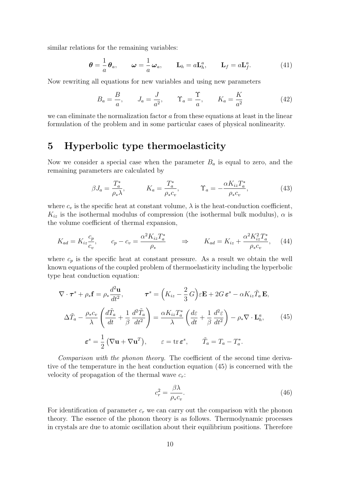similar relations for the remaining variables:

$$
\boldsymbol{\theta} = \frac{1}{a} \boldsymbol{\theta}_a, \qquad \boldsymbol{\omega} = \frac{1}{a} \boldsymbol{\omega}_a, \qquad \mathbf{L}_h = a \mathbf{L}_h^a, \qquad \mathbf{L}_f = a \mathbf{L}_f^a. \tag{41}
$$

Now rewriting all equations for new variables and using new parameters

$$
B_a = \frac{B}{a}, \qquad J_a = \frac{J}{a^2}, \qquad \Upsilon_a = \frac{\Upsilon}{a}, \qquad K_a = \frac{K}{a^2}
$$
(42)

we can eliminate the normalization factor *a* from these equations at least in the linear formulation of the problem and in some particular cases of physical nonlinearity.

#### **5 Hyperbolic type thermoelasticity**

Now we consider a special case when the parameter  $B_a$  is equal to zero, and the remaining parameters are calculated by

$$
\beta J_a = \frac{T_a^*}{\rho_* \lambda}, \qquad K_a = \frac{T_a^*}{\rho_* c_v}, \qquad \Upsilon_a = -\frac{\alpha K_{iz} T_a^*}{\rho_* c_v}, \tag{43}
$$

where  $c_v$  is the specific heat at constant volume,  $\lambda$  is the heat-conduction coefficient,  $K_{iz}$  is the isothermal modulus of compression (the isothermal bulk modulus),  $\alpha$  is the volume coefficient of thermal expansion,

$$
K_{ad} = K_{iz}\frac{c_p}{c_v}, \qquad c_p - c_v = \frac{\alpha^2 K_{iz} T_a^*}{\rho_*} \qquad \Rightarrow \qquad K_{ad} = K_{iz} + \frac{\alpha^2 K_{iz}^2 T_a^*}{\rho_* c_v}, \tag{44}
$$

where  $c_p$  is the specific heat at constant pressure. As a result we obtain the well known equations of the coupled problem of thermoelasticity including the hyperbolic type heat conduction equation:

$$
\nabla \cdot \boldsymbol{\tau}^{s} + \rho_{*} \mathbf{f} = \rho_{*} \frac{d^{2} \mathbf{u}}{dt^{2}}, \qquad \boldsymbol{\tau}^{s} = \left(K_{iz} - \frac{2}{3} G\right) \varepsilon \mathbf{E} + 2G \, \varepsilon^{s} - \alpha K_{iz} \tilde{T}_{a} \, \mathbf{E},
$$

$$
\Delta \tilde{T}_{a} - \frac{\rho_{*} c_{v}}{\lambda} \left(\frac{d \tilde{T}_{a}}{dt} + \frac{1}{\beta} \frac{d^{2} \tilde{T}_{a}}{dt^{2}}\right) = \frac{\alpha K_{iz} T_{a}^{*}}{\lambda} \left(\frac{d \varepsilon}{dt} + \frac{1}{\beta} \frac{d^{2} \varepsilon}{dt^{2}}\right) - \rho_{*} \nabla \cdot \mathbf{L}_{h}^{a}, \qquad (45)
$$

$$
\boldsymbol{\varepsilon}^{s} = \frac{1}{2} \left(\nabla \mathbf{u} + \nabla \mathbf{u}^{T}\right), \qquad \boldsymbol{\varepsilon} = \text{tr} \, \boldsymbol{\varepsilon}^{s}, \qquad \tilde{T}_{a} = T_{a} - T_{a}^{*}.
$$

*Comparison with the phonon theory.* The coefficient of the second time derivative of the temperature in the heat conduction equation (45) is concerned with the velocity of propagation of the thermal wave *cr*:

$$
c_r^2 = \frac{\beta \lambda}{\rho_* c_v}.\tag{46}
$$

For identification of parameter  $c_r$  we can carry out the comparison with the phonon theory. The essence of the phonon theory is as follows. Thermodynamic processes in crystals are due to atomic oscillation about their equilibrium positions. Therefore